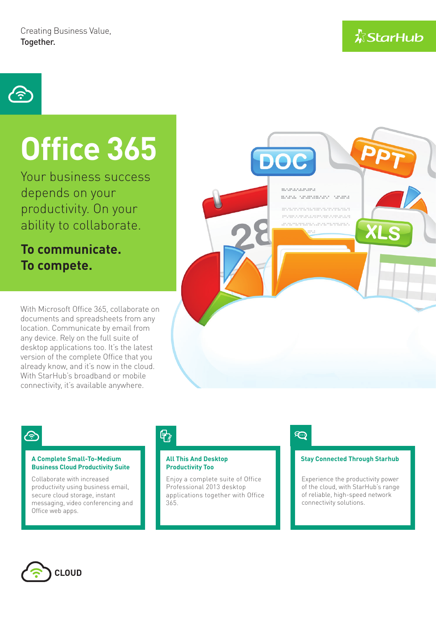**A**StarHub



# **Office 365**

Your business success depends on your productivity. On your ability to collaborate.

**To communicate. To compete.**

With Microsoft Office 365, collaborate on documents and spreadsheets from any location. Communicate by email from desktop applications too. It's the latest version of the complete Office that you already know, and it's now in the cloud.

**DOC** 

mananana mana anananana anana

021.02.021.020.031.03.03.03.03.03.03.03.03 .............................. 

any device. Rely on the full suite of With StarHub's broadband or mobile connectivity, it's available anywhere.

# 4

### **A Complete Small-To-Medium Stay Connected Through Starhub Business Cloud Productivity Suite**

Collaborate with increased productivity using business email, secure cloud storage, instant messaging, video conferencing and Office web apps.

# 骨

### **All This And Desktop Productivity Too**

Enjoy a complete suite of Office Professional 2013 desktop applications together with Office 365.

# **D**

Experience the productivity power of the cloud, with StarHub's range of reliable, high-speed network connectivity solutions.